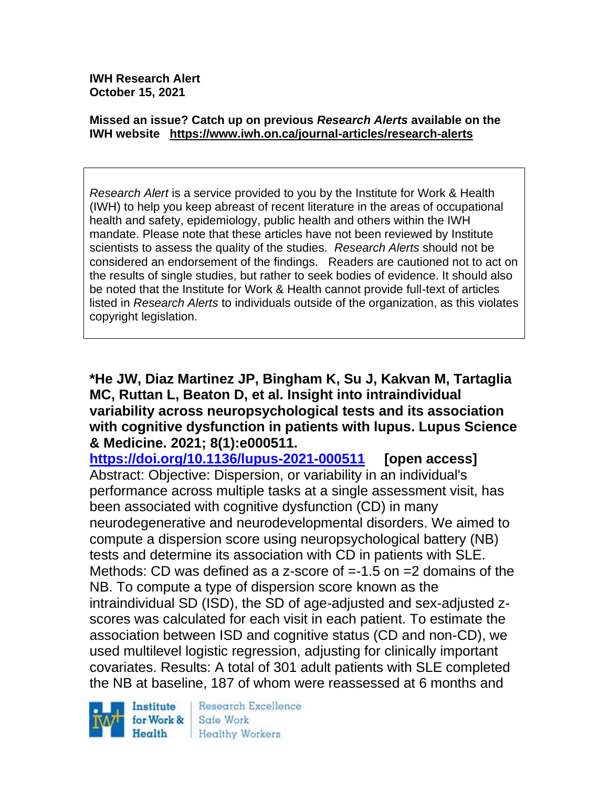**IWH Research Alert October 15, 2021**

#### **Missed an issue? Catch up on previous** *Research Alerts* **available on the [IWH website](http://www.iwh.on.ca/research-alerts) <https://www.iwh.on.ca/journal-articles/research-alerts>**

*Research Alert* is a service provided to you by the Institute for Work & Health (IWH) to help you keep abreast of recent literature in the areas of occupational health and safety, epidemiology, public health and others within the IWH mandate. Please note that these articles have not been reviewed by Institute scientists to assess the quality of the studies. *Research Alerts* should not be considered an endorsement of the findings. Readers are cautioned not to act on the results of single studies, but rather to seek bodies of evidence. It should also be noted that the Institute for Work & Health cannot provide full-text of articles listed in *Research Alerts* to individuals outside of the organization, as this violates copyright legislation.

**\*He JW, Diaz Martinez JP, Bingham K, Su J, Kakvan M, Tartaglia MC, Ruttan L, Beaton D, et al. Insight into intraindividual variability across neuropsychological tests and its association with cognitive dysfunction in patients with lupus. Lupus Science & Medicine. 2021; 8(1):e000511.** 

**<https://doi.org/10.1136/lupus-2021-000511> [open access]** Abstract: Objective: Dispersion, or variability in an individual's performance across multiple tasks at a single assessment visit, has been associated with cognitive dysfunction (CD) in many neurodegenerative and neurodevelopmental disorders. We aimed to compute a dispersion score using neuropsychological battery (NB) tests and determine its association with CD in patients with SLE. Methods: CD was defined as a z-score of =-1.5 on =2 domains of the NB. To compute a type of dispersion score known as the intraindividual SD (ISD), the SD of age-adjusted and sex-adjusted zscores was calculated for each visit in each patient. To estimate the association between ISD and cognitive status (CD and non-CD), we used multilevel logistic regression, adjusting for clinically important covariates. Results: A total of 301 adult patients with SLE completed the NB at baseline, 187 of whom were reassessed at 6 months and

Institute for Work & Health

Research Excellence Safe Work Healthy Workers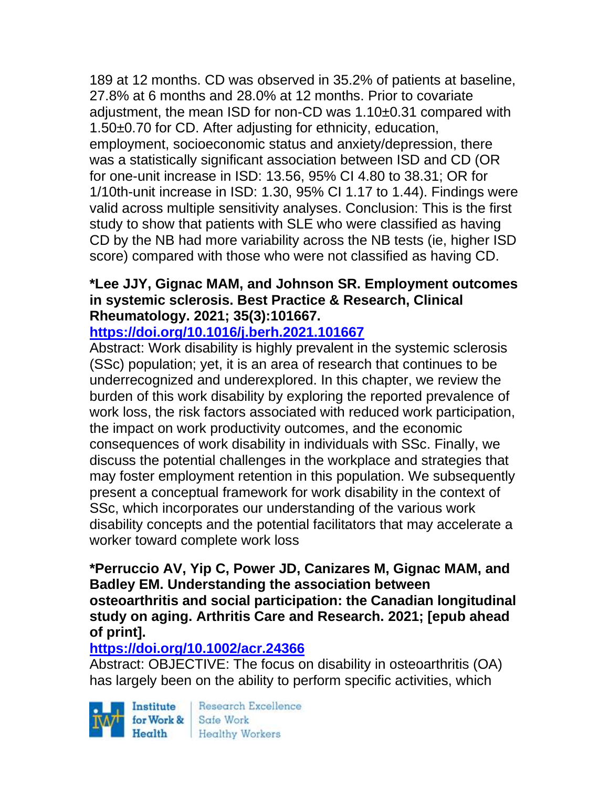189 at 12 months. CD was observed in 35.2% of patients at baseline, 27.8% at 6 months and 28.0% at 12 months. Prior to covariate adjustment, the mean ISD for non-CD was 1.10±0.31 compared with 1.50±0.70 for CD. After adjusting for ethnicity, education, employment, socioeconomic status and anxiety/depression, there was a statistically significant association between ISD and CD (OR for one-unit increase in ISD: 13.56, 95% CI 4.80 to 38.31; OR for 1/10th-unit increase in ISD: 1.30, 95% CI 1.17 to 1.44). Findings were valid across multiple sensitivity analyses. Conclusion: This is the first study to show that patients with SLE who were classified as having CD by the NB had more variability across the NB tests (ie, higher ISD score) compared with those who were not classified as having CD.

# **\*Lee JJY, Gignac MAM, and Johnson SR. Employment outcomes in systemic sclerosis. Best Practice & Research, Clinical Rheumatology. 2021; 35(3):101667.**

**<https://doi.org/10.1016/j.berh.2021.101667>** 

Abstract: Work disability is highly prevalent in the systemic sclerosis (SSc) population; yet, it is an area of research that continues to be underrecognized and underexplored. In this chapter, we review the burden of this work disability by exploring the reported prevalence of work loss, the risk factors associated with reduced work participation, the impact on work productivity outcomes, and the economic consequences of work disability in individuals with SSc. Finally, we discuss the potential challenges in the workplace and strategies that may foster employment retention in this population. We subsequently present a conceptual framework for work disability in the context of SSc, which incorporates our understanding of the various work disability concepts and the potential facilitators that may accelerate a worker toward complete work loss

**\*Perruccio AV, Yip C, Power JD, Canizares M, Gignac MAM, and Badley EM. Understanding the association between osteoarthritis and social participation: the Canadian longitudinal study on aging. Arthritis Care and Research. 2021; [epub ahead of print].**

# **<https://doi.org/10.1002/acr.24366>**

Abstract: OBJECTIVE: The focus on disability in osteoarthritis (OA) has largely been on the ability to perform specific activities, which

Institute Health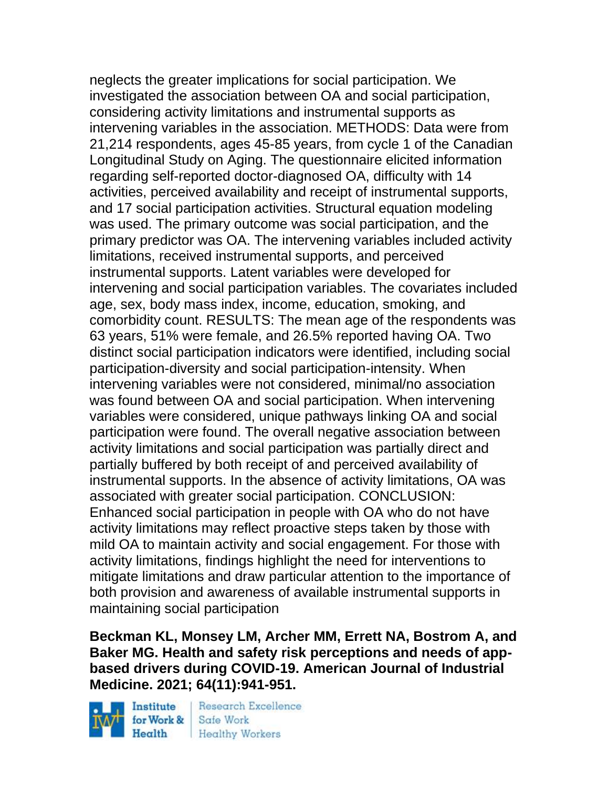neglects the greater implications for social participation. We investigated the association between OA and social participation, considering activity limitations and instrumental supports as intervening variables in the association. METHODS: Data were from 21,214 respondents, ages 45-85 years, from cycle 1 of the Canadian Longitudinal Study on Aging. The questionnaire elicited information regarding self-reported doctor-diagnosed OA, difficulty with 14 activities, perceived availability and receipt of instrumental supports, and 17 social participation activities. Structural equation modeling was used. The primary outcome was social participation, and the primary predictor was OA. The intervening variables included activity limitations, received instrumental supports, and perceived instrumental supports. Latent variables were developed for intervening and social participation variables. The covariates included age, sex, body mass index, income, education, smoking, and comorbidity count. RESULTS: The mean age of the respondents was 63 years, 51% were female, and 26.5% reported having OA. Two distinct social participation indicators were identified, including social participation-diversity and social participation-intensity. When intervening variables were not considered, minimal/no association was found between OA and social participation. When intervening variables were considered, unique pathways linking OA and social participation were found. The overall negative association between activity limitations and social participation was partially direct and partially buffered by both receipt of and perceived availability of instrumental supports. In the absence of activity limitations, OA was associated with greater social participation. CONCLUSION: Enhanced social participation in people with OA who do not have activity limitations may reflect proactive steps taken by those with mild OA to maintain activity and social engagement. For those with activity limitations, findings highlight the need for interventions to mitigate limitations and draw particular attention to the importance of both provision and awareness of available instrumental supports in maintaining social participation

**Beckman KL, Monsey LM, Archer MM, Errett NA, Bostrom A, and Baker MG. Health and safety risk perceptions and needs of appbased drivers during COVID-19. American Journal of Industrial Medicine. 2021; 64(11):941-951.** 

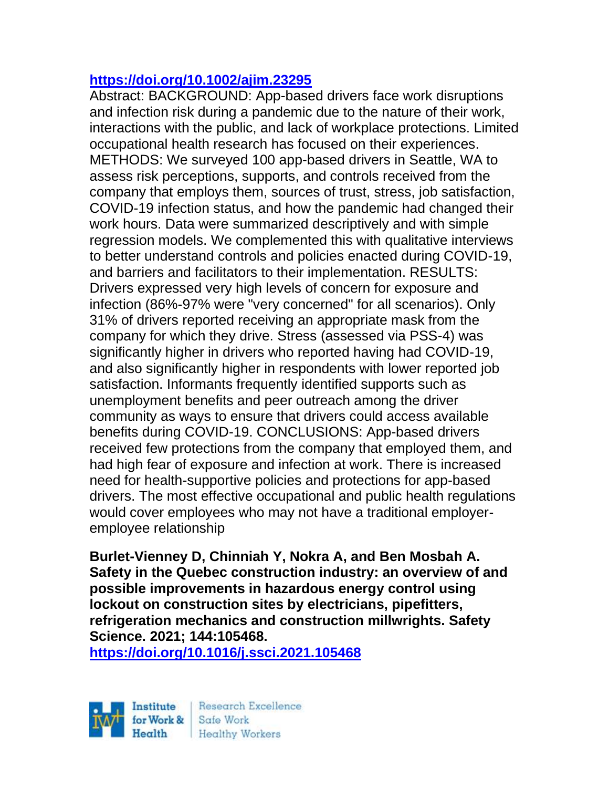### **<https://doi.org/10.1002/ajim.23295>**

Abstract: BACKGROUND: App-based drivers face work disruptions and infection risk during a pandemic due to the nature of their work, interactions with the public, and lack of workplace protections. Limited occupational health research has focused on their experiences. METHODS: We surveyed 100 app-based drivers in Seattle, WA to assess risk perceptions, supports, and controls received from the company that employs them, sources of trust, stress, job satisfaction, COVID-19 infection status, and how the pandemic had changed their work hours. Data were summarized descriptively and with simple regression models. We complemented this with qualitative interviews to better understand controls and policies enacted during COVID-19, and barriers and facilitators to their implementation. RESULTS: Drivers expressed very high levels of concern for exposure and infection (86%-97% were "very concerned" for all scenarios). Only 31% of drivers reported receiving an appropriate mask from the company for which they drive. Stress (assessed via PSS-4) was significantly higher in drivers who reported having had COVID-19, and also significantly higher in respondents with lower reported job satisfaction. Informants frequently identified supports such as unemployment benefits and peer outreach among the driver community as ways to ensure that drivers could access available benefits during COVID-19. CONCLUSIONS: App-based drivers received few protections from the company that employed them, and had high fear of exposure and infection at work. There is increased need for health-supportive policies and protections for app-based drivers. The most effective occupational and public health regulations would cover employees who may not have a traditional employeremployee relationship

**Burlet-Vienney D, Chinniah Y, Nokra A, and Ben Mosbah A. Safety in the Quebec construction industry: an overview of and possible improvements in hazardous energy control using lockout on construction sites by electricians, pipefitters, refrigeration mechanics and construction millwrights. Safety Science. 2021; 144:105468.**

**<https://doi.org/10.1016/j.ssci.2021.105468>** 



Research Excellence **Healthy Workers**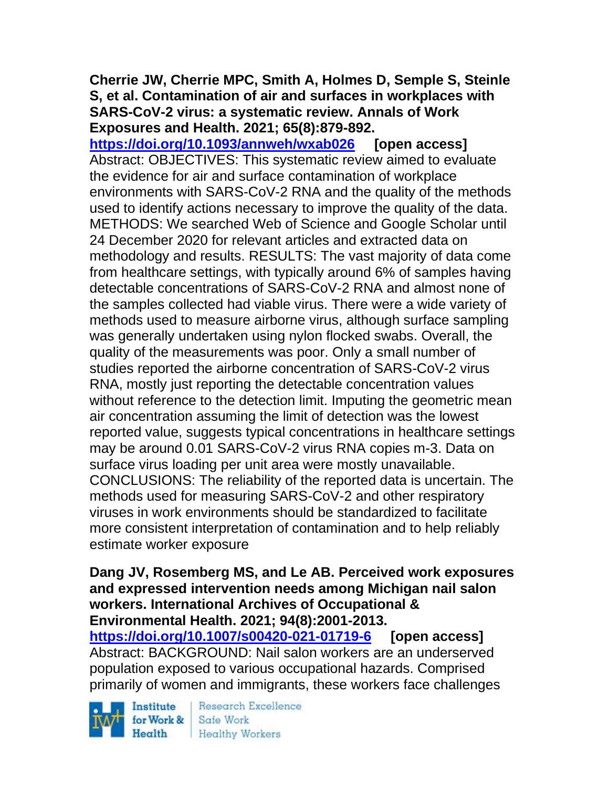### **Cherrie JW, Cherrie MPC, Smith A, Holmes D, Semple S, Steinle S, et al. Contamination of air and surfaces in workplaces with SARS-CoV-2 virus: a systematic review. Annals of Work Exposures and Health. 2021; 65(8):879-892.**

**<https://doi.org/10.1093/annweh/wxab026> [open access]** Abstract: OBJECTIVES: This systematic review aimed to evaluate the evidence for air and surface contamination of workplace environments with SARS-CoV-2 RNA and the quality of the methods used to identify actions necessary to improve the quality of the data. METHODS: We searched Web of Science and Google Scholar until 24 December 2020 for relevant articles and extracted data on methodology and results. RESULTS: The vast majority of data come from healthcare settings, with typically around 6% of samples having detectable concentrations of SARS-CoV-2 RNA and almost none of the samples collected had viable virus. There were a wide variety of methods used to measure airborne virus, although surface sampling was generally undertaken using nylon flocked swabs. Overall, the quality of the measurements was poor. Only a small number of studies reported the airborne concentration of SARS-CoV-2 virus RNA, mostly just reporting the detectable concentration values without reference to the detection limit. Imputing the geometric mean air concentration assuming the limit of detection was the lowest reported value, suggests typical concentrations in healthcare settings may be around 0.01 SARS-CoV-2 virus RNA copies m-3. Data on surface virus loading per unit area were mostly unavailable. CONCLUSIONS: The reliability of the reported data is uncertain. The methods used for measuring SARS-CoV-2 and other respiratory viruses in work environments should be standardized to facilitate more consistent interpretation of contamination and to help reliably estimate worker exposure

**Dang JV, Rosemberg MS, and Le AB. Perceived work exposures and expressed intervention needs among Michigan nail salon workers. International Archives of Occupational & Environmental Health. 2021; 94(8):2001-2013.** 

**<https://doi.org/10.1007/s00420-021-01719-6> [open access]** Abstract: BACKGROUND: Nail salon workers are an underserved population exposed to various occupational hazards. Comprised primarily of women and immigrants, these workers face challenges

Institute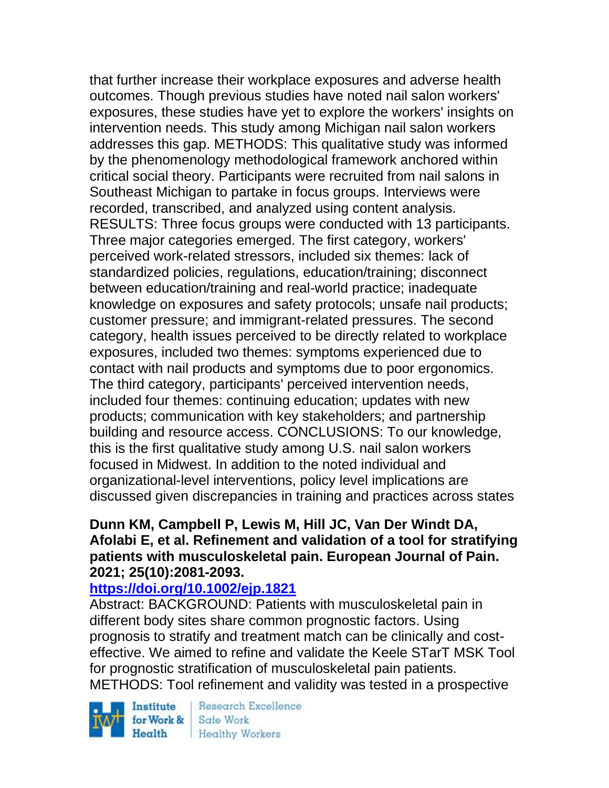that further increase their workplace exposures and adverse health outcomes. Though previous studies have noted nail salon workers' exposures, these studies have yet to explore the workers' insights on intervention needs. This study among Michigan nail salon workers addresses this gap. METHODS: This qualitative study was informed by the phenomenology methodological framework anchored within critical social theory. Participants were recruited from nail salons in Southeast Michigan to partake in focus groups. Interviews were recorded, transcribed, and analyzed using content analysis. RESULTS: Three focus groups were conducted with 13 participants. Three major categories emerged. The first category, workers' perceived work-related stressors, included six themes: lack of standardized policies, regulations, education/training; disconnect between education/training and real-world practice; inadequate knowledge on exposures and safety protocols; unsafe nail products; customer pressure; and immigrant-related pressures. The second category, health issues perceived to be directly related to workplace exposures, included two themes: symptoms experienced due to contact with nail products and symptoms due to poor ergonomics. The third category, participants' perceived intervention needs, included four themes: continuing education; updates with new products; communication with key stakeholders; and partnership building and resource access. CONCLUSIONS: To our knowledge, this is the first qualitative study among U.S. nail salon workers focused in Midwest. In addition to the noted individual and organizational-level interventions, policy level implications are discussed given discrepancies in training and practices across states

#### **Dunn KM, Campbell P, Lewis M, Hill JC, Van Der Windt DA, Afolabi E, et al. Refinement and validation of a tool for stratifying patients with musculoskeletal pain. European Journal of Pain. 2021; 25(10):2081-2093.**

# **<https://doi.org/10.1002/ejp.1821>**

Abstract: BACKGROUND: Patients with musculoskeletal pain in different body sites share common prognostic factors. Using prognosis to stratify and treatment match can be clinically and costeffective. We aimed to refine and validate the Keele STarT MSK Tool for prognostic stratification of musculoskeletal pain patients. METHODS: Tool refinement and validity was tested in a prospective

Institute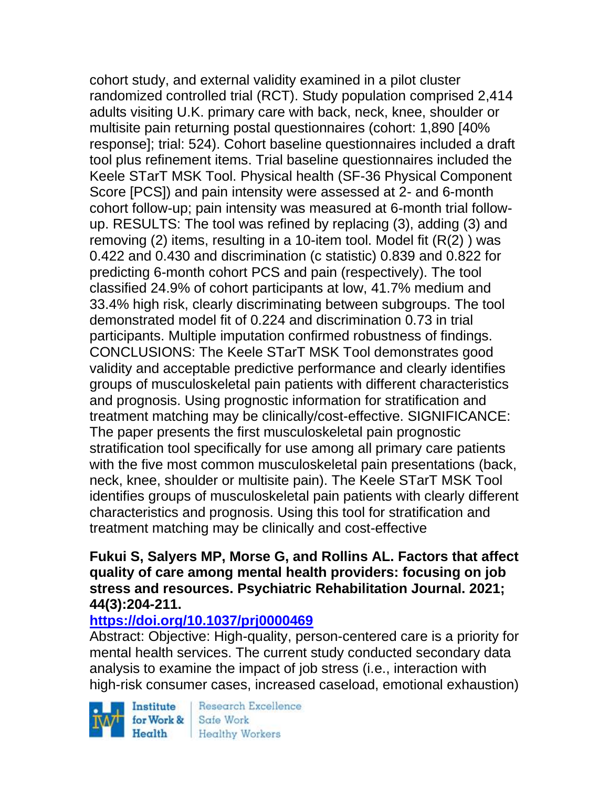cohort study, and external validity examined in a pilot cluster randomized controlled trial (RCT). Study population comprised 2,414 adults visiting U.K. primary care with back, neck, knee, shoulder or multisite pain returning postal questionnaires (cohort: 1,890 [40% response]; trial: 524). Cohort baseline questionnaires included a draft tool plus refinement items. Trial baseline questionnaires included the Keele STarT MSK Tool. Physical health (SF-36 Physical Component Score [PCS]) and pain intensity were assessed at 2- and 6-month cohort follow-up; pain intensity was measured at 6-month trial followup. RESULTS: The tool was refined by replacing (3), adding (3) and removing (2) items, resulting in a 10-item tool. Model fit (R(2) ) was 0.422 and 0.430 and discrimination (c statistic) 0.839 and 0.822 for predicting 6-month cohort PCS and pain (respectively). The tool classified 24.9% of cohort participants at low, 41.7% medium and 33.4% high risk, clearly discriminating between subgroups. The tool demonstrated model fit of 0.224 and discrimination 0.73 in trial participants. Multiple imputation confirmed robustness of findings. CONCLUSIONS: The Keele STarT MSK Tool demonstrates good validity and acceptable predictive performance and clearly identifies groups of musculoskeletal pain patients with different characteristics and prognosis. Using prognostic information for stratification and treatment matching may be clinically/cost-effective. SIGNIFICANCE: The paper presents the first musculoskeletal pain prognostic stratification tool specifically for use among all primary care patients with the five most common musculoskeletal pain presentations (back, neck, knee, shoulder or multisite pain). The Keele STarT MSK Tool identifies groups of musculoskeletal pain patients with clearly different characteristics and prognosis. Using this tool for stratification and treatment matching may be clinically and cost-effective

#### **Fukui S, Salyers MP, Morse G, and Rollins AL. Factors that affect quality of care among mental health providers: focusing on job stress and resources. Psychiatric Rehabilitation Journal. 2021; 44(3):204-211.**

## **<https://doi.org/10.1037/prj0000469>**

Abstract: Objective: High-quality, person-centered care is a priority for mental health services. The current study conducted secondary data analysis to examine the impact of job stress (i.e., interaction with high-risk consumer cases, increased caseload, emotional exhaustion)

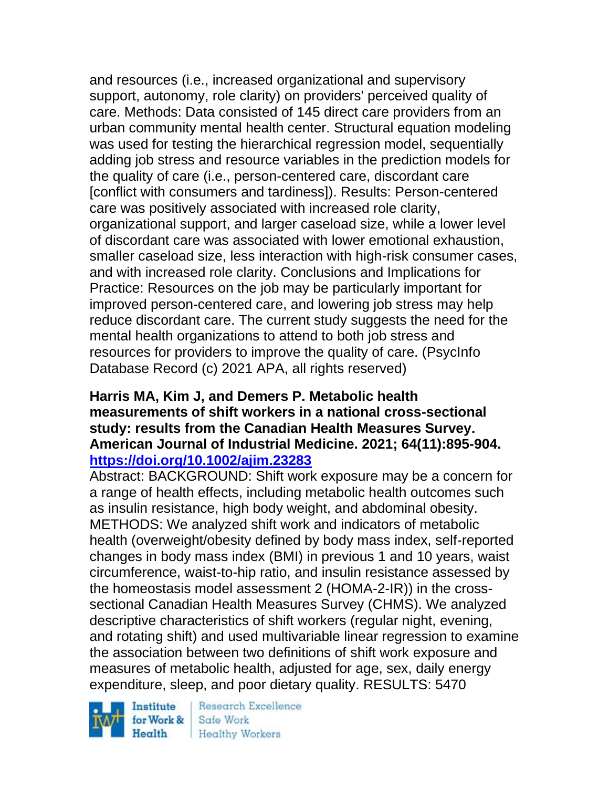and resources (i.e., increased organizational and supervisory support, autonomy, role clarity) on providers' perceived quality of care. Methods: Data consisted of 145 direct care providers from an urban community mental health center. Structural equation modeling was used for testing the hierarchical regression model, sequentially adding job stress and resource variables in the prediction models for the quality of care (i.e., person-centered care, discordant care [conflict with consumers and tardiness]). Results: Person-centered care was positively associated with increased role clarity, organizational support, and larger caseload size, while a lower level of discordant care was associated with lower emotional exhaustion, smaller caseload size, less interaction with high-risk consumer cases, and with increased role clarity. Conclusions and Implications for Practice: Resources on the job may be particularly important for improved person-centered care, and lowering job stress may help reduce discordant care. The current study suggests the need for the mental health organizations to attend to both job stress and resources for providers to improve the quality of care. (PsycInfo Database Record (c) 2021 APA, all rights reserved)

#### **Harris MA, Kim J, and Demers P. Metabolic health measurements of shift workers in a national cross-sectional study: results from the Canadian Health Measures Survey. American Journal of Industrial Medicine. 2021; 64(11):895-904. <https://doi.org/10.1002/ajim.23283>**

Abstract: BACKGROUND: Shift work exposure may be a concern for a range of health effects, including metabolic health outcomes such as insulin resistance, high body weight, and abdominal obesity. METHODS: We analyzed shift work and indicators of metabolic health (overweight/obesity defined by body mass index, self-reported changes in body mass index (BMI) in previous 1 and 10 years, waist circumference, waist-to-hip ratio, and insulin resistance assessed by the homeostasis model assessment 2 (HOMA-2-IR)) in the crosssectional Canadian Health Measures Survey (CHMS). We analyzed descriptive characteristics of shift workers (regular night, evening, and rotating shift) and used multivariable linear regression to examine the association between two definitions of shift work exposure and measures of metabolic health, adjusted for age, sex, daily energy expenditure, sleep, and poor dietary quality. RESULTS: 5470

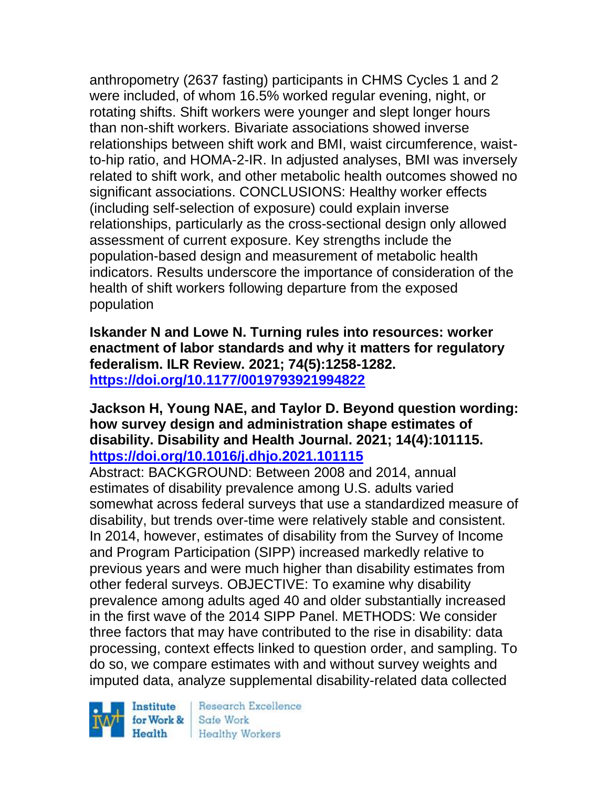anthropometry (2637 fasting) participants in CHMS Cycles 1 and 2 were included, of whom 16.5% worked regular evening, night, or rotating shifts. Shift workers were younger and slept longer hours than non-shift workers. Bivariate associations showed inverse relationships between shift work and BMI, waist circumference, waistto-hip ratio, and HOMA-2-IR. In adjusted analyses, BMI was inversely related to shift work, and other metabolic health outcomes showed no significant associations. CONCLUSIONS: Healthy worker effects (including self-selection of exposure) could explain inverse relationships, particularly as the cross-sectional design only allowed assessment of current exposure. Key strengths include the population-based design and measurement of metabolic health indicators. Results underscore the importance of consideration of the health of shift workers following departure from the exposed population

**Iskander N and Lowe N. Turning rules into resources: worker enactment of labor standards and why it matters for regulatory federalism. ILR Review. 2021; 74(5):1258-1282. <https://doi.org/10.1177/0019793921994822>** 

#### **Jackson H, Young NAE, and Taylor D. Beyond question wording: how survey design and administration shape estimates of disability. Disability and Health Journal. 2021; 14(4):101115. <https://doi.org/10.1016/j.dhjo.2021.101115>**

Abstract: BACKGROUND: Between 2008 and 2014, annual estimates of disability prevalence among U.S. adults varied somewhat across federal surveys that use a standardized measure of disability, but trends over-time were relatively stable and consistent. In 2014, however, estimates of disability from the Survey of Income and Program Participation (SIPP) increased markedly relative to previous years and were much higher than disability estimates from other federal surveys. OBJECTIVE: To examine why disability prevalence among adults aged 40 and older substantially increased in the first wave of the 2014 SIPP Panel. METHODS: We consider three factors that may have contributed to the rise in disability: data processing, context effects linked to question order, and sampling. To do so, we compare estimates with and without survey weights and imputed data, analyze supplemental disability-related data collected

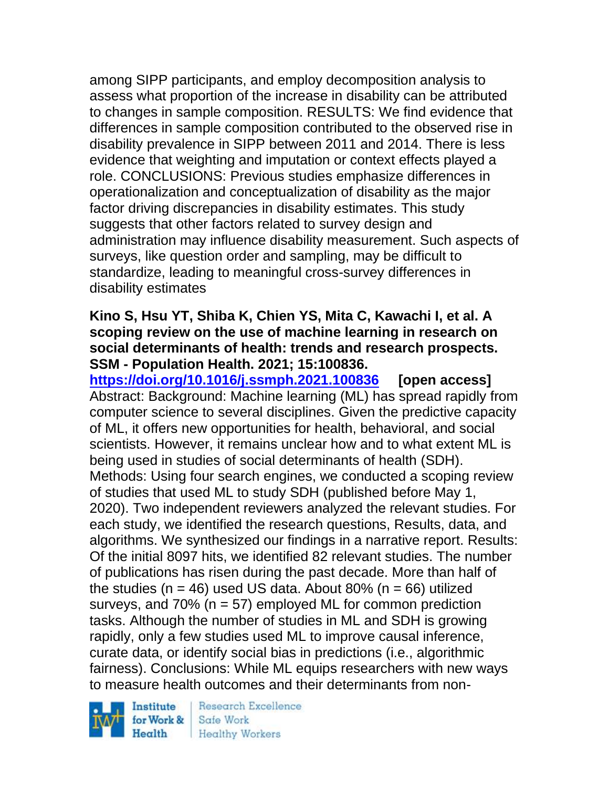among SIPP participants, and employ decomposition analysis to assess what proportion of the increase in disability can be attributed to changes in sample composition. RESULTS: We find evidence that differences in sample composition contributed to the observed rise in disability prevalence in SIPP between 2011 and 2014. There is less evidence that weighting and imputation or context effects played a role. CONCLUSIONS: Previous studies emphasize differences in operationalization and conceptualization of disability as the major factor driving discrepancies in disability estimates. This study suggests that other factors related to survey design and administration may influence disability measurement. Such aspects of surveys, like question order and sampling, may be difficult to standardize, leading to meaningful cross-survey differences in disability estimates

#### **Kino S, Hsu YT, Shiba K, Chien YS, Mita C, Kawachi I, et al. A scoping review on the use of machine learning in research on social determinants of health: trends and research prospects. SSM - Population Health. 2021; 15:100836.**

**<https://doi.org/10.1016/j.ssmph.2021.100836> [open access]** Abstract: Background: Machine learning (ML) has spread rapidly from computer science to several disciplines. Given the predictive capacity of ML, it offers new opportunities for health, behavioral, and social scientists. However, it remains unclear how and to what extent ML is being used in studies of social determinants of health (SDH). Methods: Using four search engines, we conducted a scoping review of studies that used ML to study SDH (published before May 1, 2020). Two independent reviewers analyzed the relevant studies. For each study, we identified the research questions, Results, data, and algorithms. We synthesized our findings in a narrative report. Results: Of the initial 8097 hits, we identified 82 relevant studies. The number of publications has risen during the past decade. More than half of the studies ( $n = 46$ ) used US data. About 80% ( $n = 66$ ) utilized surveys, and  $70\%$  (n = 57) employed ML for common prediction tasks. Although the number of studies in ML and SDH is growing rapidly, only a few studies used ML to improve causal inference, curate data, or identify social bias in predictions (i.e., algorithmic fairness). Conclusions: While ML equips researchers with new ways to measure health outcomes and their determinants from non-

Institute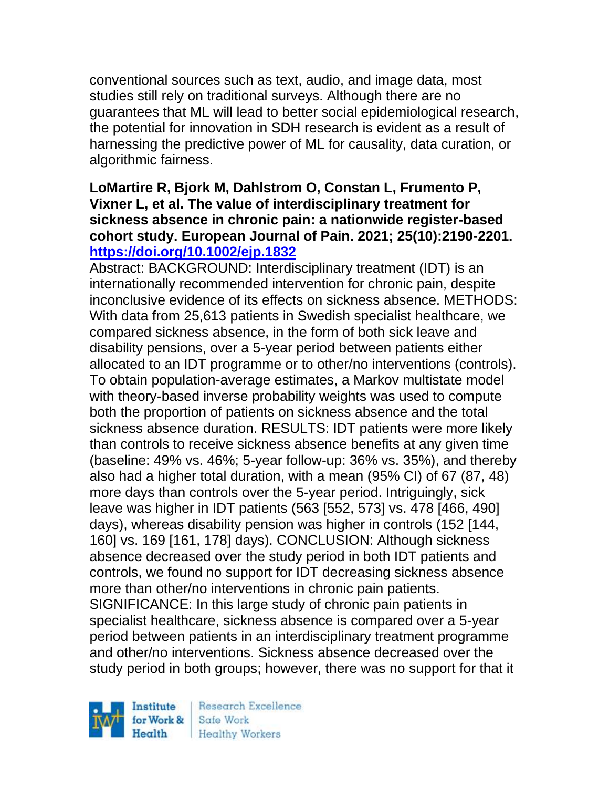conventional sources such as text, audio, and image data, most studies still rely on traditional surveys. Although there are no guarantees that ML will lead to better social epidemiological research, the potential for innovation in SDH research is evident as a result of harnessing the predictive power of ML for causality, data curation, or algorithmic fairness.

### **LoMartire R, Bjork M, Dahlstrom O, Constan L, Frumento P, Vixner L, et al. The value of interdisciplinary treatment for sickness absence in chronic pain: a nationwide register-based cohort study. European Journal of Pain. 2021; 25(10):2190-2201. <https://doi.org/10.1002/ejp.1832>**

Abstract: BACKGROUND: Interdisciplinary treatment (IDT) is an internationally recommended intervention for chronic pain, despite inconclusive evidence of its effects on sickness absence. METHODS: With data from 25,613 patients in Swedish specialist healthcare, we compared sickness absence, in the form of both sick leave and disability pensions, over a 5-year period between patients either allocated to an IDT programme or to other/no interventions (controls). To obtain population-average estimates, a Markov multistate model with theory-based inverse probability weights was used to compute both the proportion of patients on sickness absence and the total sickness absence duration. RESULTS: IDT patients were more likely than controls to receive sickness absence benefits at any given time (baseline: 49% vs. 46%; 5-year follow-up: 36% vs. 35%), and thereby also had a higher total duration, with a mean (95% CI) of 67 (87, 48) more days than controls over the 5-year period. Intriguingly, sick leave was higher in IDT patients (563 [552, 573] vs. 478 [466, 490] days), whereas disability pension was higher in controls (152 [144, 160] vs. 169 [161, 178] days). CONCLUSION: Although sickness absence decreased over the study period in both IDT patients and controls, we found no support for IDT decreasing sickness absence more than other/no interventions in chronic pain patients. SIGNIFICANCE: In this large study of chronic pain patients in specialist healthcare, sickness absence is compared over a 5-year period between patients in an interdisciplinary treatment programme and other/no interventions. Sickness absence decreased over the study period in both groups; however, there was no support for that it

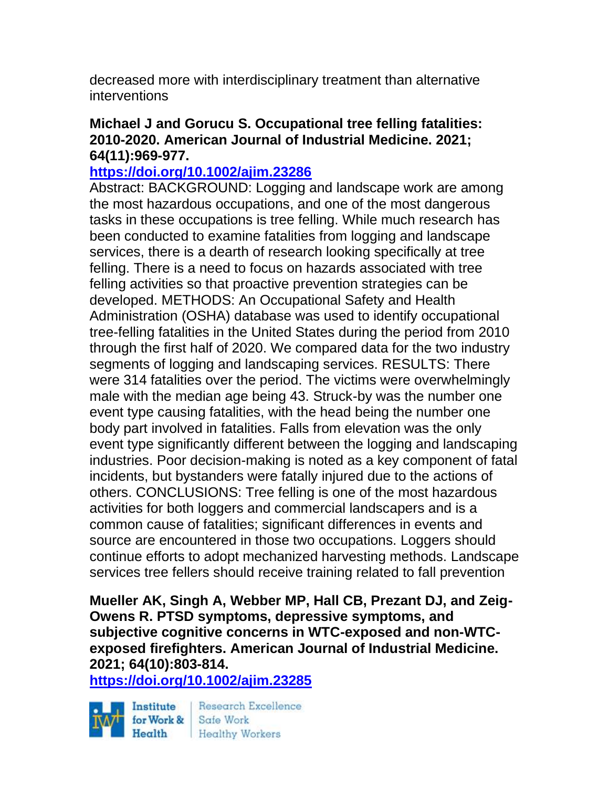decreased more with interdisciplinary treatment than alternative interventions

#### **Michael J and Gorucu S. Occupational tree felling fatalities: 2010-2020. American Journal of Industrial Medicine. 2021; 64(11):969-977.**

#### **<https://doi.org/10.1002/ajim.23286>**

Abstract: BACKGROUND: Logging and landscape work are among the most hazardous occupations, and one of the most dangerous tasks in these occupations is tree felling. While much research has been conducted to examine fatalities from logging and landscape services, there is a dearth of research looking specifically at tree felling. There is a need to focus on hazards associated with tree felling activities so that proactive prevention strategies can be developed. METHODS: An Occupational Safety and Health Administration (OSHA) database was used to identify occupational tree-felling fatalities in the United States during the period from 2010 through the first half of 2020. We compared data for the two industry segments of logging and landscaping services. RESULTS: There were 314 fatalities over the period. The victims were overwhelmingly male with the median age being 43. Struck-by was the number one event type causing fatalities, with the head being the number one body part involved in fatalities. Falls from elevation was the only event type significantly different between the logging and landscaping industries. Poor decision-making is noted as a key component of fatal incidents, but bystanders were fatally injured due to the actions of others. CONCLUSIONS: Tree felling is one of the most hazardous activities for both loggers and commercial landscapers and is a common cause of fatalities; significant differences in events and source are encountered in those two occupations. Loggers should continue efforts to adopt mechanized harvesting methods. Landscape services tree fellers should receive training related to fall prevention

**Mueller AK, Singh A, Webber MP, Hall CB, Prezant DJ, and Zeig-Owens R. PTSD symptoms, depressive symptoms, and subjective cognitive concerns in WTC-exposed and non-WTCexposed firefighters. American Journal of Industrial Medicine. 2021; 64(10):803-814.** 

**<https://doi.org/10.1002/ajim.23285>** 

Institute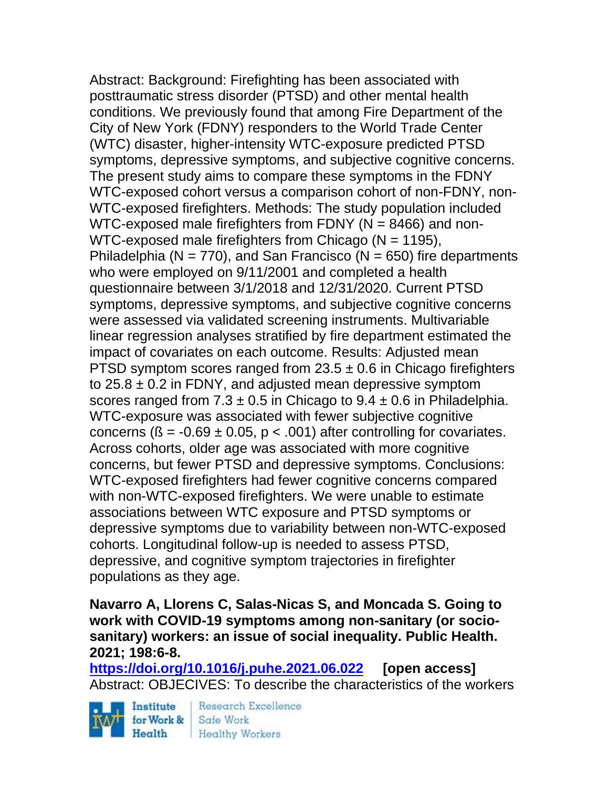Abstract: Background: Firefighting has been associated with posttraumatic stress disorder (PTSD) and other mental health conditions. We previously found that among Fire Department of the City of New York (FDNY) responders to the World Trade Center (WTC) disaster, higher-intensity WTC-exposure predicted PTSD symptoms, depressive symptoms, and subjective cognitive concerns. The present study aims to compare these symptoms in the FDNY WTC-exposed cohort versus a comparison cohort of non-FDNY, non-WTC-exposed firefighters. Methods: The study population included WTC-exposed male firefighters from FDNY (N = 8466) and non-WTC-exposed male firefighters from Chicago (N = 1195), Philadelphia ( $N = 770$ ), and San Francisco ( $N = 650$ ) fire departments who were employed on 9/11/2001 and completed a health questionnaire between 3/1/2018 and 12/31/2020. Current PTSD symptoms, depressive symptoms, and subjective cognitive concerns were assessed via validated screening instruments. Multivariable linear regression analyses stratified by fire department estimated the impact of covariates on each outcome. Results: Adjusted mean PTSD symptom scores ranged from  $23.5 \pm 0.6$  in Chicago firefighters to  $25.8 \pm 0.2$  in FDNY, and adjusted mean depressive symptom scores ranged from  $7.3 \pm 0.5$  in Chicago to  $9.4 \pm 0.6$  in Philadelphia. WTC-exposure was associated with fewer subjective cognitive concerns ( $\beta$  = -0.69  $\pm$  0.05, p < .001) after controlling for covariates. Across cohorts, older age was associated with more cognitive concerns, but fewer PTSD and depressive symptoms. Conclusions: WTC-exposed firefighters had fewer cognitive concerns compared with non-WTC-exposed firefighters. We were unable to estimate associations between WTC exposure and PTSD symptoms or depressive symptoms due to variability between non-WTC-exposed cohorts. Longitudinal follow-up is needed to assess PTSD, depressive, and cognitive symptom trajectories in firefighter populations as they age.

**Navarro A, Llorens C, Salas-Nicas S, and Moncada S. Going to work with COVID-19 symptoms among non-sanitary (or sociosanitary) workers: an issue of social inequality. Public Health. 2021; 198:6-8.** 

**<https://doi.org/10.1016/j.puhe.2021.06.022> [open access]** Abstract: OBJECIVES: To describe the characteristics of the workers

Institute for Work & Safe Work

Research Excellence Health Healthy Workers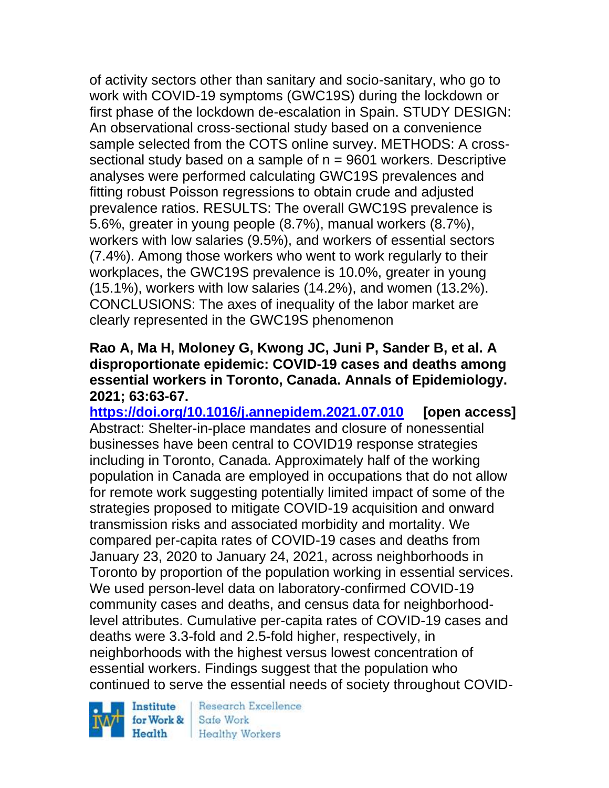of activity sectors other than sanitary and socio-sanitary, who go to work with COVID-19 symptoms (GWC19S) during the lockdown or first phase of the lockdown de-escalation in Spain. STUDY DESIGN: An observational cross-sectional study based on a convenience sample selected from the COTS online survey. METHODS: A crosssectional study based on a sample of  $n = 9601$  workers. Descriptive analyses were performed calculating GWC19S prevalences and fitting robust Poisson regressions to obtain crude and adjusted prevalence ratios. RESULTS: The overall GWC19S prevalence is 5.6%, greater in young people (8.7%), manual workers (8.7%), workers with low salaries (9.5%), and workers of essential sectors (7.4%). Among those workers who went to work regularly to their workplaces, the GWC19S prevalence is 10.0%, greater in young (15.1%), workers with low salaries (14.2%), and women (13.2%). CONCLUSIONS: The axes of inequality of the labor market are clearly represented in the GWC19S phenomenon

### **Rao A, Ma H, Moloney G, Kwong JC, Juni P, Sander B, et al. A disproportionate epidemic: COVID-19 cases and deaths among essential workers in Toronto, Canada. Annals of Epidemiology. 2021; 63:63-67.**

**<https://doi.org/10.1016/j.annepidem.2021.07.010> [open access]** Abstract: Shelter-in-place mandates and closure of nonessential businesses have been central to COVID19 response strategies including in Toronto, Canada. Approximately half of the working population in Canada are employed in occupations that do not allow for remote work suggesting potentially limited impact of some of the strategies proposed to mitigate COVID-19 acquisition and onward transmission risks and associated morbidity and mortality. We compared per-capita rates of COVID-19 cases and deaths from January 23, 2020 to January 24, 2021, across neighborhoods in Toronto by proportion of the population working in essential services. We used person-level data on laboratory-confirmed COVID-19 community cases and deaths, and census data for neighborhoodlevel attributes. Cumulative per-capita rates of COVID-19 cases and deaths were 3.3-fold and 2.5-fold higher, respectively, in neighborhoods with the highest versus lowest concentration of essential workers. Findings suggest that the population who continued to serve the essential needs of society throughout COVID-

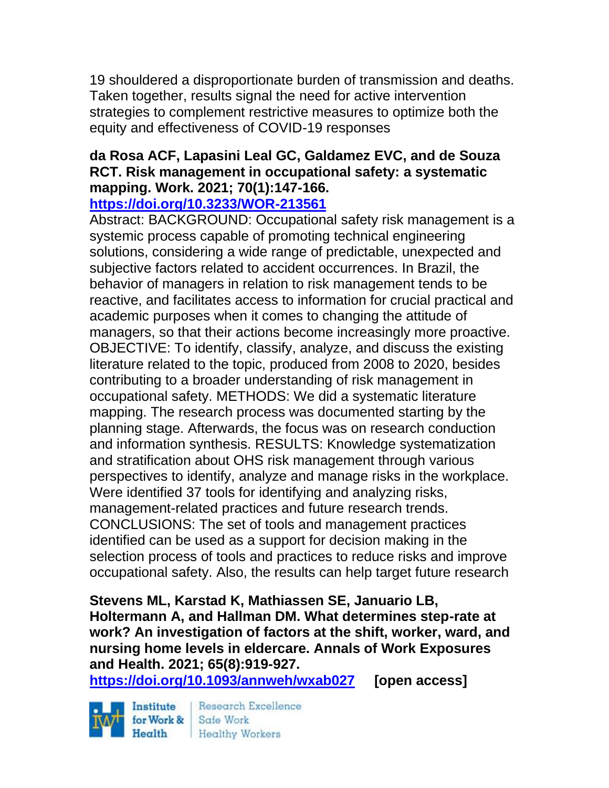19 shouldered a disproportionate burden of transmission and deaths. Taken together, results signal the need for active intervention strategies to complement restrictive measures to optimize both the equity and effectiveness of COVID-19 responses

# **da Rosa ACF, Lapasini Leal GC, Galdamez EVC, and de Souza RCT. Risk management in occupational safety: a systematic mapping. Work. 2021; 70(1):147-166.**

### **<https://doi.org/10.3233/WOR-213561>**

Abstract: BACKGROUND: Occupational safety risk management is a systemic process capable of promoting technical engineering solutions, considering a wide range of predictable, unexpected and subjective factors related to accident occurrences. In Brazil, the behavior of managers in relation to risk management tends to be reactive, and facilitates access to information for crucial practical and academic purposes when it comes to changing the attitude of managers, so that their actions become increasingly more proactive. OBJECTIVE: To identify, classify, analyze, and discuss the existing literature related to the topic, produced from 2008 to 2020, besides contributing to a broader understanding of risk management in occupational safety. METHODS: We did a systematic literature mapping. The research process was documented starting by the planning stage. Afterwards, the focus was on research conduction and information synthesis. RESULTS: Knowledge systematization and stratification about OHS risk management through various perspectives to identify, analyze and manage risks in the workplace. Were identified 37 tools for identifying and analyzing risks, management-related practices and future research trends. CONCLUSIONS: The set of tools and management practices identified can be used as a support for decision making in the selection process of tools and practices to reduce risks and improve occupational safety. Also, the results can help target future research

**Stevens ML, Karstad K, Mathiassen SE, Januario LB, Holtermann A, and Hallman DM. What determines step-rate at work? An investigation of factors at the shift, worker, ward, and nursing home levels in eldercare. Annals of Work Exposures and Health. 2021; 65(8):919-927.** 

**<https://doi.org/10.1093/annweh/wxab027> [open access]**

Institute Health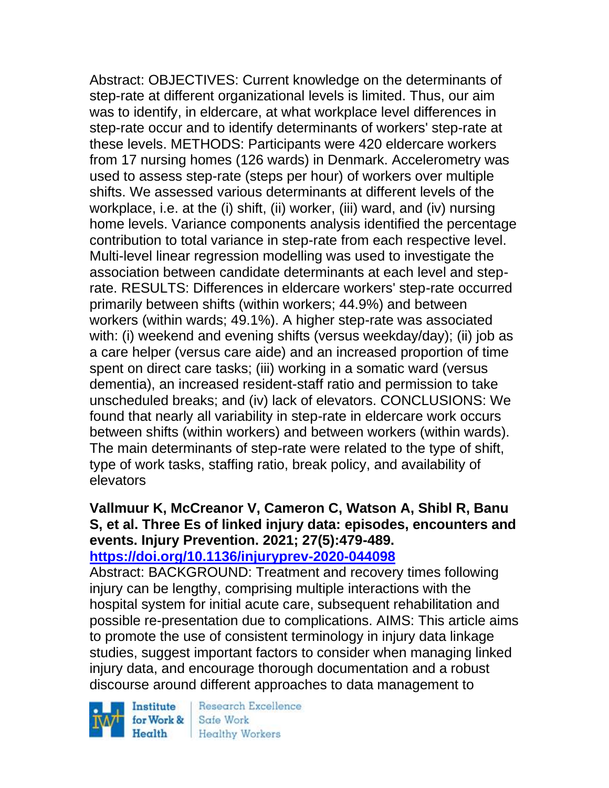Abstract: OBJECTIVES: Current knowledge on the determinants of step-rate at different organizational levels is limited. Thus, our aim was to identify, in eldercare, at what workplace level differences in step-rate occur and to identify determinants of workers' step-rate at these levels. METHODS: Participants were 420 eldercare workers from 17 nursing homes (126 wards) in Denmark. Accelerometry was used to assess step-rate (steps per hour) of workers over multiple shifts. We assessed various determinants at different levels of the workplace, i.e. at the (i) shift, (ii) worker, (iii) ward, and (iv) nursing home levels. Variance components analysis identified the percentage contribution to total variance in step-rate from each respective level. Multi-level linear regression modelling was used to investigate the association between candidate determinants at each level and steprate. RESULTS: Differences in eldercare workers' step-rate occurred primarily between shifts (within workers; 44.9%) and between workers (within wards; 49.1%). A higher step-rate was associated with: (i) weekend and evening shifts (versus weekday/day); (ii) job as a care helper (versus care aide) and an increased proportion of time spent on direct care tasks; (iii) working in a somatic ward (versus dementia), an increased resident-staff ratio and permission to take unscheduled breaks; and (iv) lack of elevators. CONCLUSIONS: We found that nearly all variability in step-rate in eldercare work occurs between shifts (within workers) and between workers (within wards). The main determinants of step-rate were related to the type of shift, type of work tasks, staffing ratio, break policy, and availability of elevators

#### **Vallmuur K, McCreanor V, Cameron C, Watson A, Shibl R, Banu S, et al. Three Es of linked injury data: episodes, encounters and events. Injury Prevention. 2021; 27(5):479-489. <https://doi.org/10.1136/injuryprev-2020-044098>**

Abstract: BACKGROUND: Treatment and recovery times following injury can be lengthy, comprising multiple interactions with the hospital system for initial acute care, subsequent rehabilitation and possible re-presentation due to complications. AIMS: This article aims to promote the use of consistent terminology in injury data linkage studies, suggest important factors to consider when managing linked injury data, and encourage thorough documentation and a robust discourse around different approaches to data management to

Institute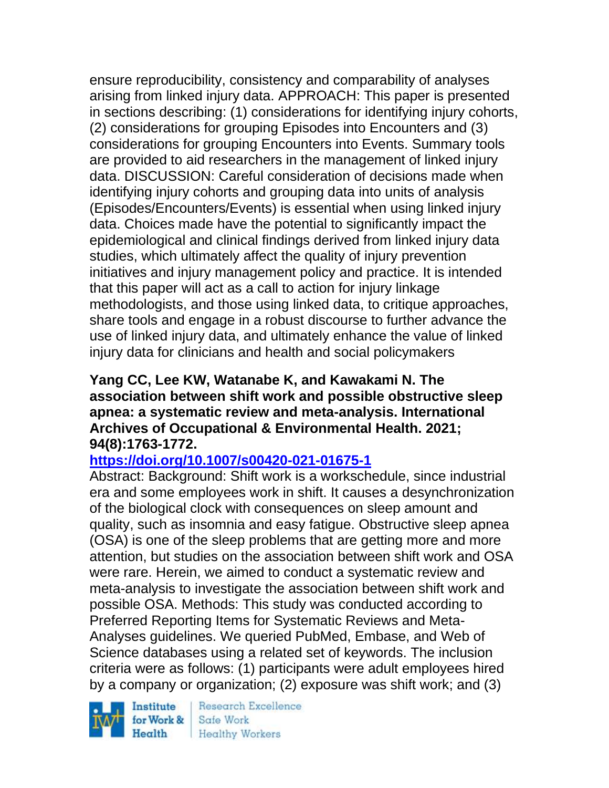ensure reproducibility, consistency and comparability of analyses arising from linked injury data. APPROACH: This paper is presented in sections describing: (1) considerations for identifying injury cohorts, (2) considerations for grouping Episodes into Encounters and (3) considerations for grouping Encounters into Events. Summary tools are provided to aid researchers in the management of linked injury data. DISCUSSION: Careful consideration of decisions made when identifying injury cohorts and grouping data into units of analysis (Episodes/Encounters/Events) is essential when using linked injury data. Choices made have the potential to significantly impact the epidemiological and clinical findings derived from linked injury data studies, which ultimately affect the quality of injury prevention initiatives and injury management policy and practice. It is intended that this paper will act as a call to action for injury linkage methodologists, and those using linked data, to critique approaches, share tools and engage in a robust discourse to further advance the use of linked injury data, and ultimately enhance the value of linked injury data for clinicians and health and social policymakers

#### **Yang CC, Lee KW, Watanabe K, and Kawakami N. The association between shift work and possible obstructive sleep apnea: a systematic review and meta-analysis. International Archives of Occupational & Environmental Health. 2021; 94(8):1763-1772.**

## **<https://doi.org/10.1007/s00420-021-01675-1>**

Abstract: Background: Shift work is a workschedule, since industrial era and some employees work in shift. It causes a desynchronization of the biological clock with consequences on sleep amount and quality, such as insomnia and easy fatigue. Obstructive sleep apnea (OSA) is one of the sleep problems that are getting more and more attention, but studies on the association between shift work and OSA were rare. Herein, we aimed to conduct a systematic review and meta-analysis to investigate the association between shift work and possible OSA. Methods: This study was conducted according to Preferred Reporting Items for Systematic Reviews and Meta-Analyses guidelines. We queried PubMed, Embase, and Web of Science databases using a related set of keywords. The inclusion criteria were as follows: (1) participants were adult employees hired by a company or organization; (2) exposure was shift work; and (3)